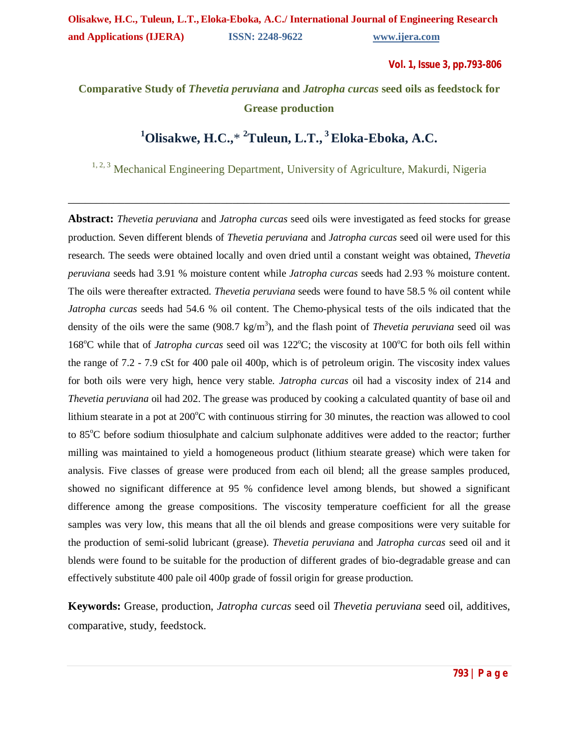**Vol. 1, Issue 3, pp.793-806**

# **Comparative Study of** *Thevetia peruviana* **and** *Jatropha curcas* **seed oils as feedstock for Grease production**

# **<sup>1</sup>Olisakwe, H.C.,**\* **<sup>2</sup>Tuleun, L.T., <sup>3</sup>Eloka-Eboka, A.C.**

<sup>1, 2, 3</sup> Mechanical Engineering Department, University of Agriculture, Makurdi, Nigeria

\_\_\_\_\_\_\_\_\_\_\_\_\_\_\_\_\_\_\_\_\_\_\_\_\_\_\_\_\_\_\_\_\_\_\_\_\_\_\_\_\_\_\_\_\_\_\_\_\_\_\_\_\_\_\_\_\_\_\_\_\_\_\_\_\_\_\_\_\_\_\_\_\_\_\_\_\_\_

**Abstract:** *Thevetia peruviana* and *Jatropha curcas* seed oils were investigated as feed stocks for grease production. Seven different blends of *Thevetia peruviana* and *Jatropha curcas* seed oil were used for this research. The seeds were obtained locally and oven dried until a constant weight was obtained, *Thevetia peruviana* seeds had 3.91 % moisture content while *Jatropha curcas* seeds had 2.93 % moisture content. The oils were thereafter extracted. *Thevetia peruviana* seeds were found to have 58.5 % oil content while *Jatropha curcas* seeds had 54.6 % oil content. The Chemo-physical tests of the oils indicated that the density of the oils were the same (908.7 kg/m<sup>3</sup>), and the flash point of *Thevetia peruviana* seed oil was 168<sup>o</sup>C while that of *Jatropha curcas* seed oil was 122<sup>o</sup>C; the viscosity at 100<sup>o</sup>C for both oils fell within the range of 7.2 - 7.9 cSt for 400 pale oil 400p, which is of petroleum origin. The viscosity index values for both oils were very high, hence very stable. *Jatropha curcas* oil had a viscosity index of 214 and *Thevetia peruviana* oil had 202. The grease was produced by cooking a calculated quantity of base oil and lithium stearate in a pot at  $200^{\circ}$ C with continuous stirring for 30 minutes, the reaction was allowed to cool to  $85^{\circ}$ C before sodium thiosulphate and calcium sulphonate additives were added to the reactor; further milling was maintained to yield a homogeneous product (lithium stearate grease) which were taken for analysis. Five classes of grease were produced from each oil blend; all the grease samples produced, showed no significant difference at 95 % confidence level among blends, but showed a significant difference among the grease compositions. The viscosity temperature coefficient for all the grease samples was very low, this means that all the oil blends and grease compositions were very suitable for the production of semi-solid lubricant (grease). *Thevetia peruviana* and *Jatropha curcas* seed oil and it blends were found to be suitable for the production of different grades of bio-degradable grease and can effectively substitute 400 pale oil 400p grade of fossil origin for grease production.

**Keywords:** Grease, production, *Jatropha curcas* seed oil *Thevetia peruviana* seed oil, additives, comparative, study, feedstock.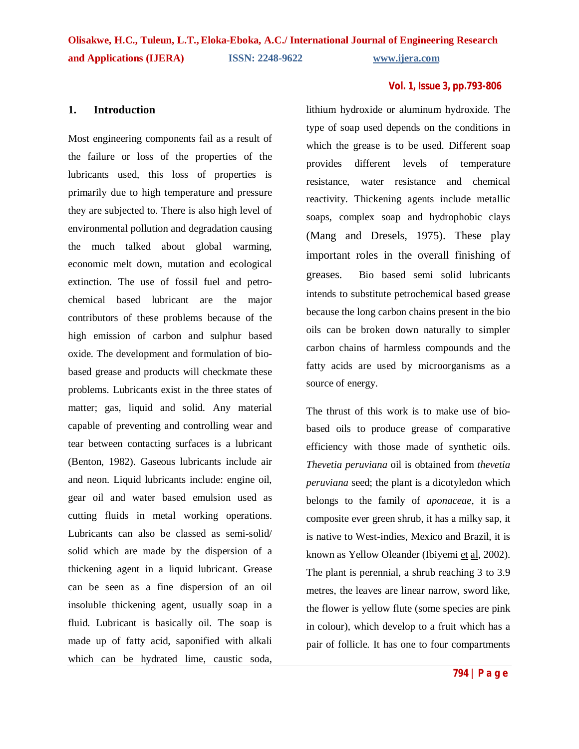### **1. Introduction**

Most engineering components fail as a result of the failure or loss of the properties of the lubricants used, this loss of properties is primarily due to high temperature and pressure they are subjected to. There is also high level of environmental pollution and degradation causing the much talked about global warming, economic melt down, mutation and ecological extinction. The use of fossil fuel and petrochemical based lubricant are the major contributors of these problems because of the high emission of carbon and sulphur based oxide. The development and formulation of biobased grease and products will checkmate these problems. Lubricants exist in the three states of matter; gas, liquid and solid. Any material capable of preventing and controlling wear and tear between contacting surfaces is a lubricant (Benton, 1982). Gaseous lubricants include air and neon. Liquid lubricants include: engine oil, gear oil and water based emulsion used as cutting fluids in metal working operations. Lubricants can also be classed as semi-solid/ solid which are made by the dispersion of a thickening agent in a liquid lubricant. Grease can be seen as a fine dispersion of an oil insoluble thickening agent, usually soap in a fluid. Lubricant is basically oil. The soap is made up of fatty acid, saponified with alkali which can be hydrated lime, caustic soda,

lithium hydroxide or aluminum hydroxide. The type of soap used depends on the conditions in which the grease is to be used. Different soap provides different levels of temperature resistance, water resistance and chemical reactivity. Thickening agents include metallic soaps, complex soap and hydrophobic clays (Mang and Dresels, 1975). These play important roles in the overall finishing of greases. Bio based semi solid lubricants intends to substitute petrochemical based grease because the long carbon chains present in the bio oils can be broken down naturally to simpler carbon chains of harmless compounds and the fatty acids are used by microorganisms as a source of energy.

The thrust of this work is to make use of biobased oils to produce grease of comparative efficiency with those made of synthetic oils. *Thevetia peruviana* oil is obtained from *thevetia peruviana* seed; the plant is a dicotyledon which belongs to the family of *aponaceae*, it is a composite ever green shrub, it has a milky sap, it is native to West-indies, Mexico and Brazil, it is known as Yellow Oleander (Ibiyemi et al, 2002). The plant is perennial, a shrub reaching 3 to 3.9 metres, the leaves are linear narrow, sword like, the flower is yellow flute (some species are pink in colour), which develop to a fruit which has a pair of follicle. It has one to four compartments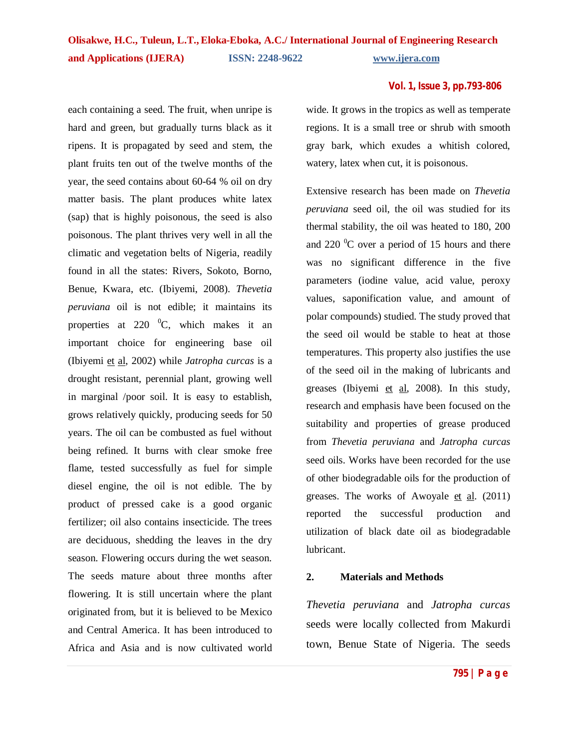each containing a seed. The fruit, when unripe is hard and green, but gradually turns black as it ripens. It is propagated by seed and stem, the plant fruits ten out of the twelve months of the year, the seed contains about 60-64 % oil on dry matter basis. The plant produces white latex (sap) that is highly poisonous, the seed is also poisonous. The plant thrives very well in all the climatic and vegetation belts of Nigeria, readily found in all the states: Rivers, Sokoto, Borno, Benue, Kwara, etc. (Ibiyemi, 2008). *Thevetia peruviana* oil is not edible; it maintains its properties at 220  $^{0}C$ , which makes it an important choice for engineering base oil (Ibiyemi et al, 2002) while *Jatropha curcas* is a drought resistant, perennial plant, growing well in marginal /poor soil. It is easy to establish, grows relatively quickly, producing seeds for 50 years. The oil can be combusted as fuel without being refined. It burns with clear smoke free flame, tested successfully as fuel for simple diesel engine, the oil is not edible. The by product of pressed cake is a good organic fertilizer; oil also contains insecticide. The trees are deciduous, shedding the leaves in the dry season. Flowering occurs during the wet season. The seeds mature about three months after flowering. It is still uncertain where the plant originated from, but it is believed to be Mexico and Central America. It has been introduced to Africa and Asia and is now cultivated world wide. It grows in the tropics as well as temperate regions. It is a small tree or shrub with smooth gray bark, which exudes a whitish colored, watery, latex when cut, it is poisonous.

Extensive research has been made on *Thevetia peruviana* seed oil, the oil was studied for its thermal stability, the oil was heated to 180, 200 and 220  $\mathrm{^0C}$  over a period of 15 hours and there was no significant difference in the five parameters (iodine value, acid value, peroxy values, saponification value, and amount of polar compounds) studied. The study proved that the seed oil would be stable to heat at those temperatures. This property also justifies the use of the seed oil in the making of lubricants and greases (Ibiyemi et al, 2008). In this study, research and emphasis have been focused on the suitability and properties of grease produced from *Thevetia peruviana* and *Jatropha curcas* seed oils. Works have been recorded for the use of other biodegradable oils for the production of greases. The works of Awoyale et al. (2011) reported the successful production and utilization of black date oil as biodegradable lubricant.

### **2. Materials and Methods**

*Thevetia peruviana* and *Jatropha curcas* seeds were locally collected from Makurdi town, Benue State of Nigeria. The seeds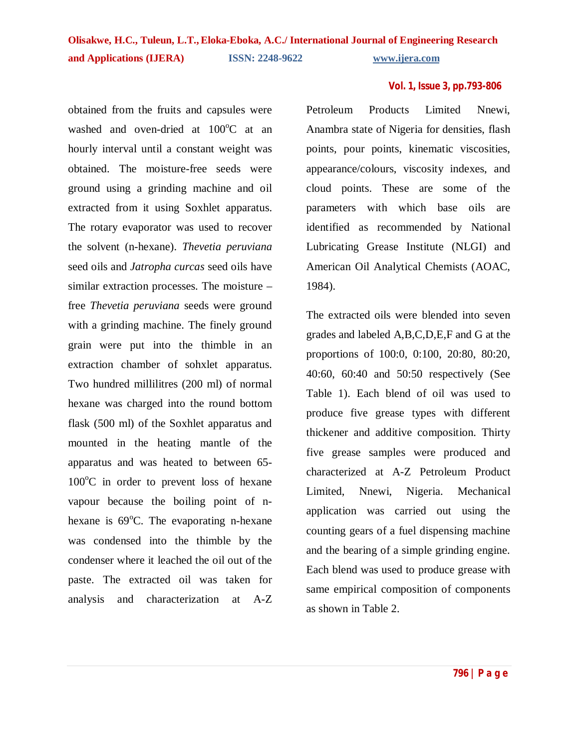obtained from the fruits and capsules were washed and oven-dried at  $100^{\circ}$ C at an hourly interval until a constant weight was obtained. The moisture-free seeds were ground using a grinding machine and oil extracted from it using Soxhlet apparatus. The rotary evaporator was used to recover the solvent (n-hexane). *Thevetia peruviana* seed oils and *Jatropha curcas* seed oils have similar extraction processes. The moisture – free *Thevetia peruviana* seeds were ground with a grinding machine. The finely ground grain were put into the thimble in an extraction chamber of sohxlet apparatus. Two hundred millilitres (200 ml) of normal hexane was charged into the round bottom flask (500 ml) of the Soxhlet apparatus and mounted in the heating mantle of the apparatus and was heated to between 65-  $100^{\circ}$ C in order to prevent loss of hexane vapour because the boiling point of nhexane is  $69^{\circ}$ C. The evaporating n-hexane was condensed into the thimble by the condenser where it leached the oil out of the paste. The extracted oil was taken for analysis and characterization at A-Z Petroleum Products Limited Nnewi, Anambra state of Nigeria for densities, flash points, pour points, kinematic viscosities, appearance/colours, viscosity indexes, and cloud points. These are some of the parameters with which base oils are identified as recommended by National Lubricating Grease Institute (NLGI) and American Oil Analytical Chemists (AOAC, 1984).

The extracted oils were blended into seven grades and labeled A,B,C,D,E,F and G at the proportions of 100:0, 0:100, 20:80, 80:20, 40:60, 60:40 and 50:50 respectively (See Table 1). Each blend of oil was used to produce five grease types with different thickener and additive composition. Thirty five grease samples were produced and characterized at A-Z Petroleum Product Limited, Nnewi, Nigeria. Mechanical application was carried out using the counting gears of a fuel dispensing machine and the bearing of a simple grinding engine. Each blend was used to produce grease with same empirical composition of components as shown in Table 2.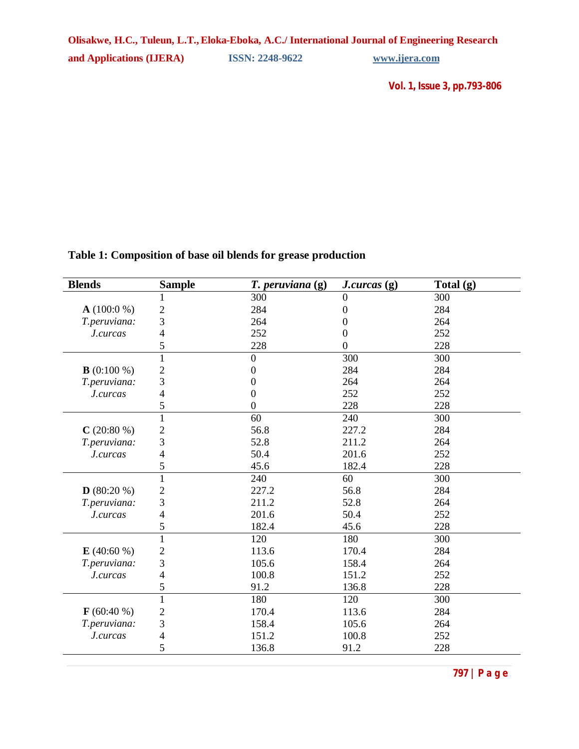## **Table 1: Composition of base oil blends for grease production**

| <b>Blends</b> | <b>Sample</b>  | $T.$ peruviana $(g)$ | J. curcas(g)     | Total $(g)$ |
|---------------|----------------|----------------------|------------------|-------------|
|               |                | 300                  | $\boldsymbol{0}$ | 300         |
| $A(100:0\%)$  | $\mathbf{2}$   | 284                  | 0                | 284         |
| T.peruviana:  | 3              | 264                  | 0                | 264         |
| J.curcas      | 4              | 252                  | 0                | 252         |
|               | 5              | 228                  | $\theta$         | 228         |
|               | $\mathbf{1}$   | $\overline{0}$       | 300              | 300         |
| $B(0:100\%)$  | $\overline{c}$ | $\Omega$             | 284              | 284         |
| T.peruviana:  | 3              | 0                    | 264              | 264         |
| J.curcas      | 4              | $\Omega$             | 252              | 252         |
|               | 5              | $\Omega$             | 228              | 228         |
|               | $\mathbf{1}$   | 60                   | 240              | 300         |
| $C(20:80\%)$  | $\overline{c}$ | 56.8                 | 227.2            | 284         |
| T.peruviana:  | 3              | 52.8                 | 211.2            | 264         |
| J.curcas      | $\overline{4}$ | 50.4                 | 201.6            | 252         |
|               | 5              | 45.6                 | 182.4            | 228         |
|               | $\mathbf{1}$   | 240                  | 60               | 300         |
| $D(80:20\%)$  | $\overline{c}$ | 227.2                | 56.8             | 284         |
| T.peruviana:  | 3              | 211.2                | 52.8             | 264         |
| J.curcas      | $\overline{4}$ | 201.6                | 50.4             | 252         |
|               | 5              | 182.4                | 45.6             | 228         |
|               | $\mathbf{1}$   | 120                  | 180              | 300         |
| $E(40:60\%)$  | $\overline{c}$ | 113.6                | 170.4            | 284         |
| T.peruviana:  | 3              | 105.6                | 158.4            | 264         |
| J.curcas      | 4              | 100.8                | 151.2            | 252         |
|               | 5              | 91.2                 | 136.8            | 228         |
|               | $\mathbf{1}$   | 180                  | 120              | 300         |
| $F(60:40\%)$  | $\overline{c}$ | 170.4                | 113.6            | 284         |
| T.peruviana:  | 3              | 158.4                | 105.6            | 264         |
| J.curcas      | $\overline{4}$ | 151.2                | 100.8            | 252         |
|               | 5              | 136.8                | 91.2             | 228         |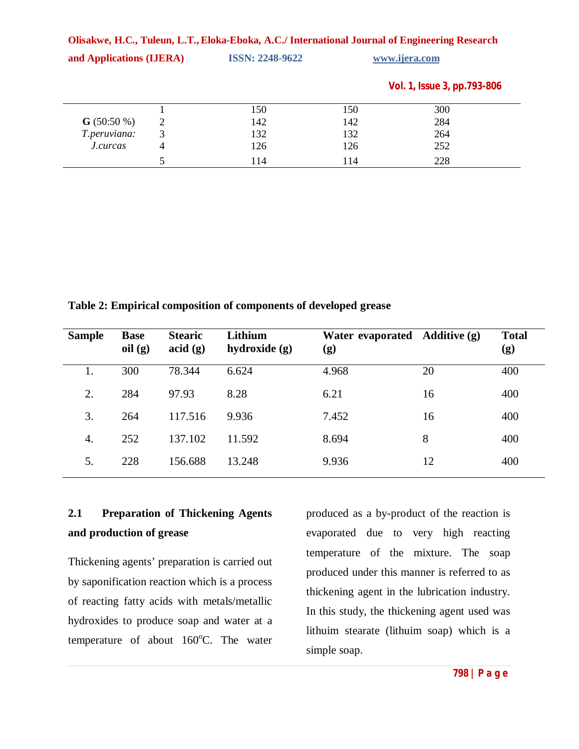| Olisakwe, H.C., Tuleun, L.T., Eloka-Eboka, A.C./ International Journal of Engineering Research |   |                        |     |                             |  |  |
|------------------------------------------------------------------------------------------------|---|------------------------|-----|-----------------------------|--|--|
| and Applications (IJERA)                                                                       |   | <b>ISSN: 2248-9622</b> |     | www.ijera.com               |  |  |
|                                                                                                |   |                        |     | Vol. 1, Issue 3, pp.793-806 |  |  |
|                                                                                                |   | 150                    | 150 | 300                         |  |  |
| $G(50:50\%)$                                                                                   | 2 | 142                    | 142 | 284                         |  |  |
| T.peruviana:                                                                                   | 3 | 132                    | 132 | 264                         |  |  |
| J.curcas                                                                                       | 4 | 126                    | 126 | 252                         |  |  |
|                                                                                                | 5 | 114                    | 114 | 228                         |  |  |

**Table 2: Empirical composition of components of developed grease**

| <b>Sample</b> | <b>Base</b><br>oil(g) | <b>Stearic</b><br>$\text{acid}(g)$ | Lithium<br>hydroxide (g) | Water evaporated Additive (g)<br>(g) |    | <b>Total</b><br>(g) |
|---------------|-----------------------|------------------------------------|--------------------------|--------------------------------------|----|---------------------|
| 1.            | 300                   | 78.344                             | 6.624                    | 4.968                                | 20 | 400                 |
| 2.            | 284                   | 97.93                              | 8.28                     | 6.21                                 | 16 | 400                 |
| 3.            | 264                   | 117.516                            | 9.936                    | 7.452                                | 16 | 400                 |
| 4.            | 252                   | 137.102                            | 11.592                   | 8.694                                | 8  | 400                 |
| 5.            | 228                   | 156.688                            | 13.248                   | 9.936                                | 12 | 400                 |

# **2.1 Preparation of Thickening Agents and production of grease**

Thickening agents' preparation is carried out by saponification reaction which is a process of reacting fatty acids with metals/metallic hydroxides to produce soap and water at a temperature of about  $160^{\circ}$ C. The water

produced as a by-product of the reaction is evaporated due to very high reacting temperature of the mixture. The soap produced under this manner is referred to as thickening agent in the lubrication industry. In this study, the thickening agent used was lithuim stearate (lithuim soap) which is a simple soap.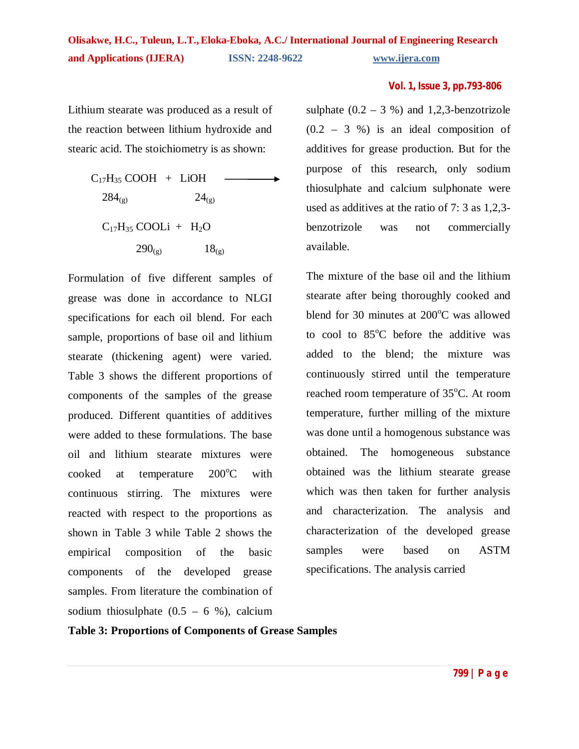Lithium stearate was produced as a result of the reaction between lithium hydroxide and stearic acid. The stoichiometry is as shown:

$$
C_{17}H_{35} COOH + LiOH
$$
\n
$$
284_{(g)}
$$
\n
$$
24_{(g)}
$$
\n
$$
C_{17}H_{35} COOLi + H_2O
$$
\n
$$
290_{(g)}
$$
\n
$$
18_{(g)}
$$

Formulation of five different samples of grease was done in accordance to NLGI specifications for each oil blend. For each sample, proportions of base oil and lithium stearate (thickening agent) were varied. Table 3 shows the different proportions of components of the samples of the grease produced. Different quantities of additives were added to these formulations. The base oil and lithium stearate mixtures were cooked at temperature  $200^{\circ}$ C with continuous stirring. The mixtures were reacted with respect to the proportions as shown in Table 3 while Table 2 shows the empirical composition of the basic components of the developed grease samples. From literature the combination of sodium thiosulphate  $(0.5 - 6 %)$ , calcium

### **Vol. 1, Issue 3, pp.793-806**

sulphate  $(0.2 - 3 %)$  and 1,2,3-benzotrizole  $(0.2 - 3 \%)$  is an ideal composition of additives for grease production. But for the purpose of this research, only sodium thiosulphate and calcium sulphonate were used as additives at the ratio of 7: 3 as 1,2,3 benzotrizole was not commercially available.

The mixture of the base oil and the lithium stearate after being thoroughly cooked and blend for 30 minutes at  $200^{\circ}$ C was allowed to cool to  $85^{\circ}$ C before the additive was added to the blend; the mixture was continuously stirred until the temperature reached room temperature of  $35^{\circ}$ C. At room temperature, further milling of the mixture was done until a homogenous substance was obtained. The homogeneous substance obtained was the lithium stearate grease which was then taken for further analysis and characterization. The analysis and characterization of the developed grease samples were based on ASTM specifications. The analysis carried

### **Table 3: Proportions of Components of Grease Samples**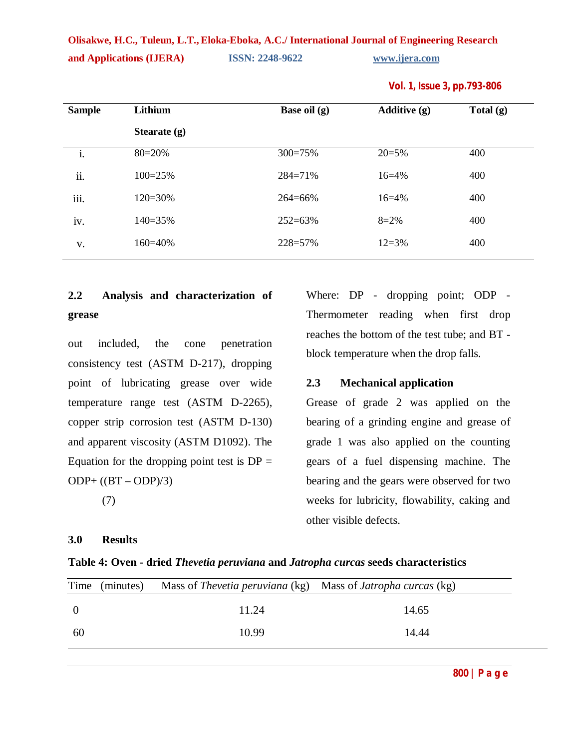#### **Vol. 1, Issue 3, pp.793-806**

# **2.2 Analysis and characterization of grease**

out included, the cone penetration consistency test (ASTM D-217), dropping point of lubricating grease over wide temperature range test (ASTM D-2265), copper strip corrosion test (ASTM D-130) and apparent viscosity (ASTM D1092). The Equation for the dropping point test is  $DP =$  $ODP + ((BT - ODP)/3)$ (7)

### **3.0 Results**

Where: DP - dropping point; ODP -Thermometer reading when first drop reaches the bottom of the test tube; and BT block temperature when the drop falls.

### **2.3 Mechanical application**

Grease of grade 2 was applied on the bearing of a grinding engine and grease of grade 1 was also applied on the counting gears of a fuel dispensing machine. The bearing and the gears were observed for two weeks for lubricity, flowability, caking and other visible defects.

### **Table 4: Oven - dried** *Thevetia peruviana* **and** *Jatropha curcas* **seeds characteristics**

| 11.24<br>14.65<br>10.99 |     | Time (minutes) | Mass of Thevetia peruviana (kg) Mass of Jatropha curcas (kg) |       |  |
|-------------------------|-----|----------------|--------------------------------------------------------------|-------|--|
|                         |     |                |                                                              |       |  |
|                         | -60 |                |                                                              | 14.44 |  |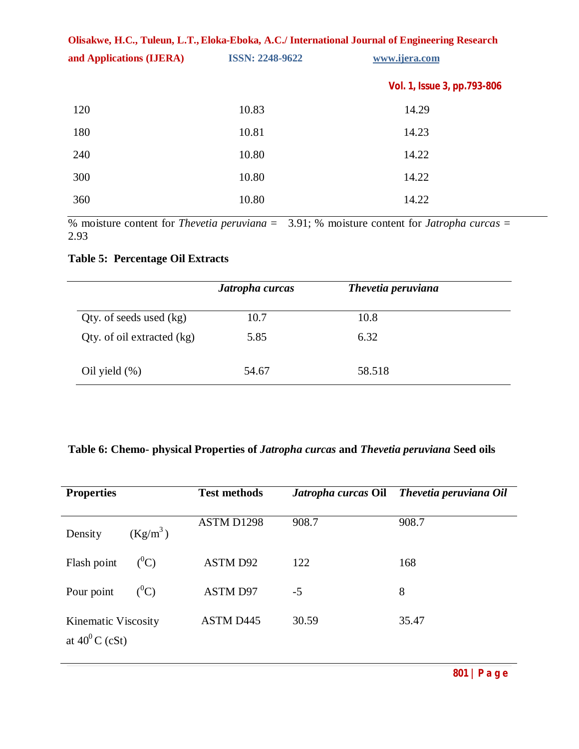| Olisakwe, H.C., Tuleun, L.T., Eloka-Eboka, A.C./ International Journal of Engineering Research |                             |  |  |  |  |
|------------------------------------------------------------------------------------------------|-----------------------------|--|--|--|--|
| <b>ISSN: 2248-9622</b>                                                                         | www.ijera.com               |  |  |  |  |
|                                                                                                | Vol. 1, Issue 3, pp.793-806 |  |  |  |  |
| 10.83                                                                                          | 14.29                       |  |  |  |  |
| 10.81                                                                                          | 14.23                       |  |  |  |  |
| 10.80                                                                                          | 14.22                       |  |  |  |  |
| 10.80                                                                                          | 14.22                       |  |  |  |  |
| 10.80                                                                                          | 14.22                       |  |  |  |  |
|                                                                                                |                             |  |  |  |  |

% moisture content for *Thevetia peruviana* = 3.91; % moisture content for *Jatropha curcas* = 2.93

## **Table 5: Percentage Oil Extracts**

|                            | Jatropha curcas | Thevetia peruviana |  |
|----------------------------|-----------------|--------------------|--|
| Qty. of seeds used $(kg)$  | 10.7            | 10.8               |  |
| Qty. of oil extracted (kg) | 5.85            | 6.32               |  |
| Oil yield $(\%)$           | 54.67           | 58.518             |  |

# **Table 6: Chemo- physical Properties of** *Jatropha curcas* **and** *Thevetia peruviana* **Seed oils**

| <b>Properties</b>                        | <b>Test methods</b> |       | Jatropha curcas Oil Thevetia peruviana Oil |
|------------------------------------------|---------------------|-------|--------------------------------------------|
| $(Kg/m^3)$<br>Density                    | ASTM D1298          | 908.7 | 908.7                                      |
| $(^0C)$<br>Flash point                   | <b>ASTM D92</b>     | 122   | 168                                        |
| $({}^0C)$<br>Pour point                  | ASTM D97            | $-5$  | 8                                          |
| Kinematic Viscosity<br>at $40^0$ C (cSt) | <b>ASTM D445</b>    | 30.59 | 35.47                                      |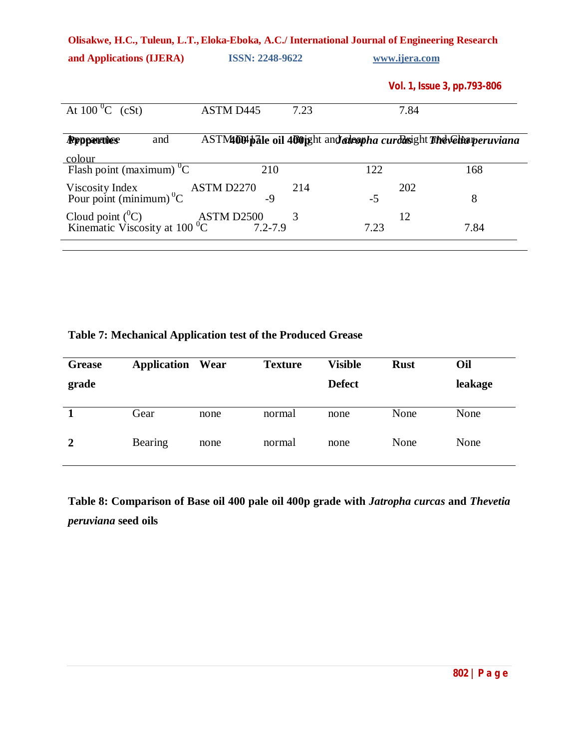| and Applications (IJERA)                                 |                           | <b>ISSN: 2248-9622</b> |                                                                       | www.ijera.com               |  |
|----------------------------------------------------------|---------------------------|------------------------|-----------------------------------------------------------------------|-----------------------------|--|
|                                                          |                           |                        |                                                                       | Vol. 1, Issue 3, pp.793-806 |  |
| At $100^{\circ}$ C (cSt)                                 | <b>ASTM D445</b>          | 7.23                   | 7.84                                                                  |                             |  |
| and<br><b>Rppperties</b><br>colour                       |                           |                        | ASTM1004 pale oil 400 ight and advapha curdasight The velta peruviana |                             |  |
| Flash point (maximum) $\overline{C}$                     | 210                       |                        | 122                                                                   | 168                         |  |
| Viscosity Index<br>Pour point (minimum) <sup>0</sup> C   | ASTM D2270<br>$-9$        | 214                    | 202<br>$-5$                                                           | 8                           |  |
| Cloud point $(^0C)$<br>Kinematic Viscosity at 100 $^0$ C | ASTM D2500<br>$7.2 - 7.9$ | 3                      | 12<br>7.23                                                            | 7.84                        |  |

| <b>Grease</b> | <b>Application Wear</b> |      | <b>Texture</b> | <b>Visible</b> | <b>Rust</b> | Oil     |
|---------------|-------------------------|------|----------------|----------------|-------------|---------|
| grade         |                         |      |                | <b>Defect</b>  |             | leakage |
|               | Gear                    | none | normal         | none           | None        | None    |

**2** Bearing none normal none None None

## **Table 7: Mechanical Application test of the Produced Grease**

**Table 8: Comparison of Base oil 400 pale oil 400p grade with** *Jatropha curcas* **and** *Thevetia peruviana* **seed oils**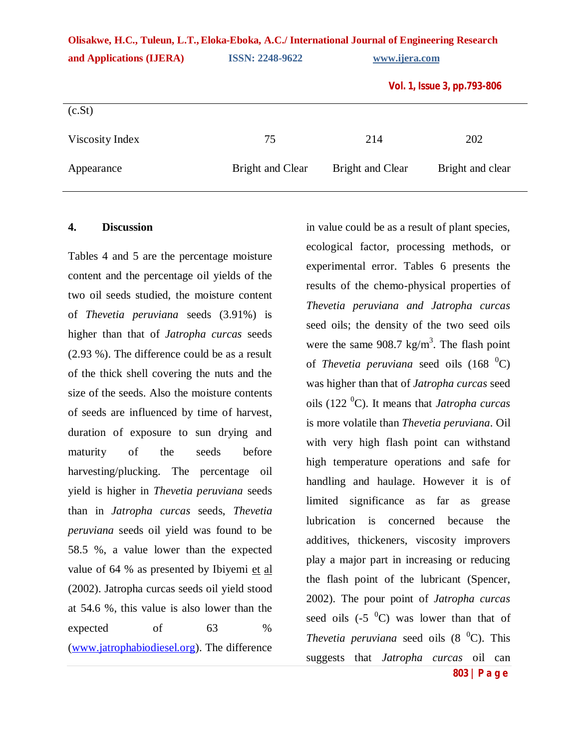|  |  |  | Vol. 1, Issue 3, pp.793-806 |
|--|--|--|-----------------------------|
|--|--|--|-----------------------------|

| (c.St)          |                  |                  |                  |
|-----------------|------------------|------------------|------------------|
| Viscosity Index | 75               | 214              | 202              |
| Appearance      | Bright and Clear | Bright and Clear | Bright and clear |

#### **4. Discussion**

Tables 4 and 5 are the percentage moisture content and the percentage oil yields of the two oil seeds studied, the moisture content of *Thevetia peruviana* seeds (3.91%) is higher than that of *Jatropha curcas* seeds (2.93 %). The difference could be as a result of the thick shell covering the nuts and the size of the seeds. Also the moisture contents of seeds are influenced by time of harvest, duration of exposure to sun drying and maturity of the seeds before harvesting/plucking. The percentage oil yield is higher in *Thevetia peruviana* seeds than in *Jatropha curcas* seeds, *Thevetia peruviana* seeds oil yield was found to be 58.5 %, a value lower than the expected value of 64 % as presented by Ibiyemi et al (2002). Jatropha curcas seeds oil yield stood at 54.6 %, this value is also lower than the expected of 63 % (www.jatrophabiodiesel.org). The difference

in value could be as a result of plant species, ecological factor, processing methods, or experimental error. Tables 6 presents the results of the chemo-physical properties of *Thevetia peruviana and Jatropha curcas* seed oils; the density of the two seed oils were the same  $908.7 \text{ kg/m}^3$ . The flash point of *Thevetia peruviana* seed oils  $(168 \text{ °C})$ was higher than that of *Jatropha curcas* seed oils (122 <sup>0</sup>C). It means that *Jatropha curcas* is more volatile than *Thevetia peruviana*. Oil with very high flash point can withstand high temperature operations and safe for handling and haulage. However it is of limited significance as far as grease lubrication is concerned because the additives, thickeners, viscosity improvers play a major part in increasing or reducing the flash point of the lubricant (Spencer, 2002). The pour point of *Jatropha curcas* seed oils  $(-5<sup>0</sup>C)$  was lower than that of *Thevetia peruviana* seed oils  $(8 \text{ }^0C)$ . This suggests that *Jatropha curcas* oil can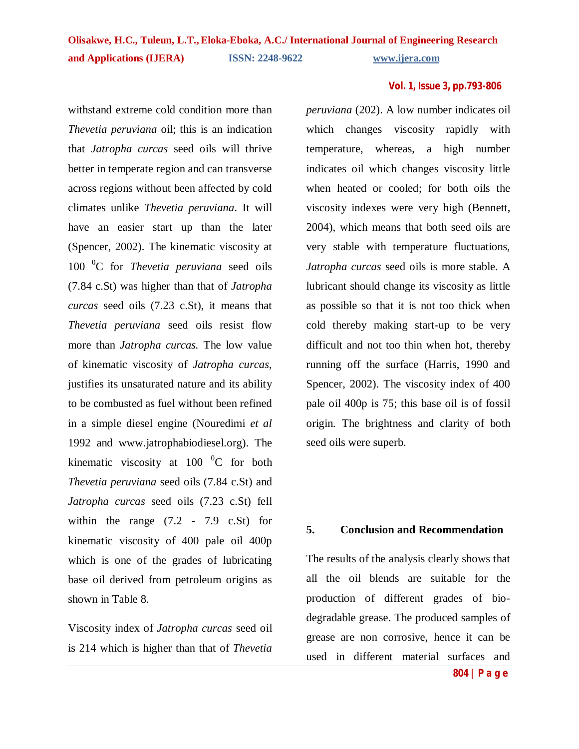withstand extreme cold condition more than *Thevetia peruviana* oil; this is an indication that *Jatropha curcas* seed oils will thrive better in temperate region and can transverse across regions without been affected by cold climates unlike *Thevetia peruviana*. It will have an easier start up than the later (Spencer, 2002). The kinematic viscosity at 100 <sup>0</sup>C for *Thevetia peruviana* seed oils (7.84 c.St) was higher than that of *Jatropha curcas* seed oils (7.23 c.St), it means that *Thevetia peruviana* seed oils resist flow more than *Jatropha curcas.* The low value of kinematic viscosity of *Jatropha curcas*, justifies its unsaturated nature and its ability to be combusted as fuel without been refined in a simple diesel engine (Nouredimi *et al* 1992 and www.jatrophabiodiesel.org). The kinematic viscosity at 100  $^{0}$ C for both *Thevetia peruviana* seed oils (7.84 c.St) and *Jatropha curcas* seed oils (7.23 c.St) fell within the range  $(7.2 - 7.9 \text{ c}.\text{St})$  for kinematic viscosity of 400 pale oil 400p which is one of the grades of lubricating base oil derived from petroleum origins as shown in Table 8.

Viscosity index of *Jatropha curcas* seed oil is 214 which is higher than that of *Thevetia* 

*peruviana* (202). A low number indicates oil which changes viscosity rapidly with temperature, whereas, a high number indicates oil which changes viscosity little when heated or cooled; for both oils the viscosity indexes were very high (Bennett, 2004), which means that both seed oils are very stable with temperature fluctuations, *Jatropha curcas* seed oils is more stable. A lubricant should change its viscosity as little as possible so that it is not too thick when cold thereby making start-up to be very difficult and not too thin when hot, thereby running off the surface (Harris, 1990 and Spencer, 2002). The viscosity index of 400 pale oil 400p is 75; this base oil is of fossil origin. The brightness and clarity of both seed oils were superb.

### **5. Conclusion and Recommendation**

The results of the analysis clearly shows that all the oil blends are suitable for the production of different grades of biodegradable grease. The produced samples of grease are non corrosive, hence it can be used in different material surfaces and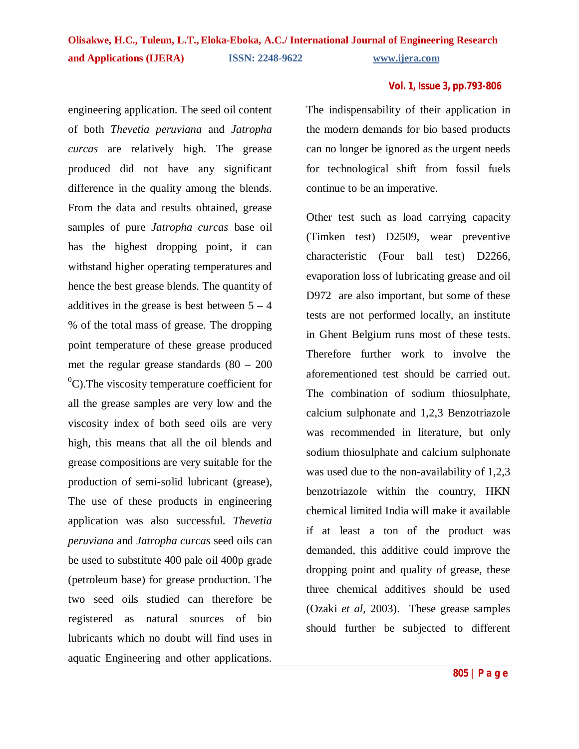engineering application. The seed oil content of both *Thevetia peruviana* and *Jatropha curcas* are relatively high. The grease produced did not have any significant difference in the quality among the blends. From the data and results obtained, grease samples of pure *Jatropha curcas* base oil has the highest dropping point, it can withstand higher operating temperatures and hence the best grease blends. The quantity of additives in the grease is best between  $5 - 4$ % of the total mass of grease. The dropping point temperature of these grease produced met the regular grease standards (80 – 200  $^{0}$ C). The viscosity temperature coefficient for all the grease samples are very low and the viscosity index of both seed oils are very high, this means that all the oil blends and grease compositions are very suitable for the production of semi-solid lubricant (grease), The use of these products in engineering application was also successful. *Thevetia peruviana* and *Jatropha curcas* seed oils can be used to substitute 400 pale oil 400p grade (petroleum base) for grease production. The two seed oils studied can therefore be registered as natural sources of bio lubricants which no doubt will find uses in aquatic Engineering and other applications.

The indispensability of their application in the modern demands for bio based products can no longer be ignored as the urgent needs for technological shift from fossil fuels continue to be an imperative.

Other test such as load carrying capacity (Timken test) D2509, wear preventive characteristic (Four ball test) D2266, evaporation loss of lubricating grease and oil D972 are also important, but some of these tests are not performed locally, an institute in Ghent Belgium runs most of these tests. Therefore further work to involve the aforementioned test should be carried out. The combination of sodium thiosulphate, calcium sulphonate and 1,2,3 Benzotriazole was recommended in literature, but only sodium thiosulphate and calcium sulphonate was used due to the non-availability of 1,2,3 benzotriazole within the country, HKN chemical limited India will make it available if at least a ton of the product was demanded, this additive could improve the dropping point and quality of grease, these three chemical additives should be used (Ozaki *et al*, 2003). These grease samples should further be subjected to different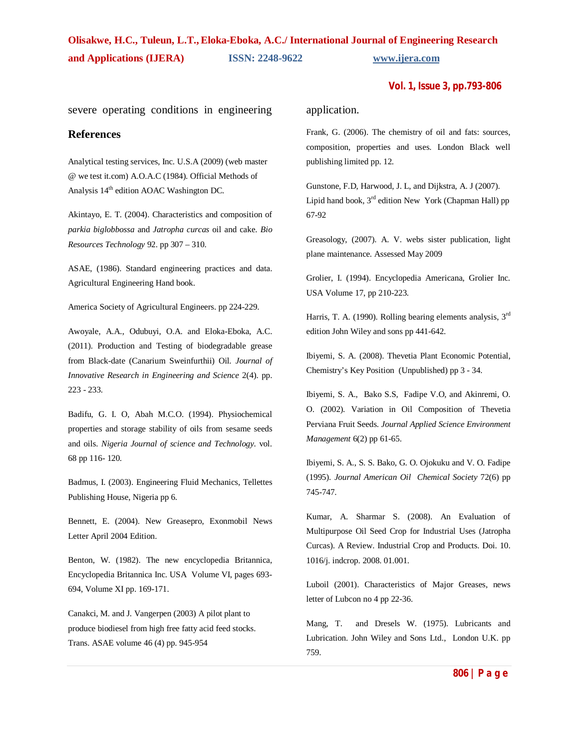#### **Vol. 1, Issue 3, pp.793-806**

severe operating conditions in engineering application.

### **References**

Analytical testing services, Inc. U.S.A (2009) (web master @ we test it.com) A.O.A.C (1984). Official Methods of Analysis 14<sup>th</sup> edition AOAC Washington DC.

Akintayo, E. T. (2004). Characteristics and composition of *parkia biglobbossa* and *Jatropha curcas* oil and cake. *Bio Resources Technology* 92. pp 307 – 310.

ASAE, (1986). Standard engineering practices and data. Agricultural Engineering Hand book.

America Society of Agricultural Engineers. pp 224-229.

Awoyale, A.A., Odubuyi, O.A. and Eloka-Eboka, A.C. (2011). Production and Testing of biodegradable grease from Black-date (Canarium Sweinfurthii) Oil. *Journal of Innovative Research in Engineering and Science* 2(4). pp. 223 - 233.

Badifu, G. I. O, Abah M.C.O. (1994). Physiochemical properties and storage stability of oils from sesame seeds and oils. *Nigeria Journal of science and Technology*. vol. 68 pp 116- 120.

Badmus, I. (2003). Engineering Fluid Mechanics, Tellettes Publishing House, Nigeria pp 6.

Bennett, E. (2004). New Greasepro, Exonmobil News Letter April 2004 Edition.

Benton, W. (1982). The new encyclopedia Britannica, Encyclopedia Britannica Inc. USA Volume VI, pages 693- 694, Volume XI pp. 169-171.

Canakci, M. and J. Vangerpen (2003) A pilot plant to produce biodiesel from high free fatty acid feed stocks. Trans. ASAE volume 46 (4) pp. 945-954

Frank, G. (2006). The chemistry of oil and fats: sources, composition, properties and uses. London Black well publishing limited pp. 12.

Gunstone, F.D, Harwood, J. L, and Dijkstra, A. J (2007). Lipid hand book, 3<sup>rd</sup> edition New York (Chapman Hall) pp 67-92

Greasology, (2007). A. V. webs sister publication, light plane maintenance. Assessed May 2009

Grolier, I. (1994). Encyclopedia Americana, Grolier Inc. USA Volume 17, pp 210-223.

Harris, T. A. (1990). Rolling bearing elements analysis, 3<sup>rd</sup> edition John Wiley and sons pp 441-642.

Ibiyemi, S. A. (2008). Thevetia Plant Economic Potential, Chemistry's Key Position (Unpublished) pp 3 - 34.

Ibiyemi, S. A., Bako S.S, Fadipe V.O, and Akinremi, O. O. (2002). Variation in Oil Composition of Thevetia Perviana Fruit Seeds. *Journal Applied Science Environment Management* 6(2) pp 61-65.

Ibiyemi, S. A., S. S. Bako, G. O. Ojokuku and V. O. Fadipe (1995). *Journal American Oil Chemical Society* 72(6) pp 745-747.

Kumar, A. Sharmar S. (2008). An Evaluation of Multipurpose Oil Seed Crop for Industrial Uses (Jatropha Curcas). A Review. Industrial Crop and Products. Doi. 10. 1016/j. indcrop. 2008. 01.001.

Luboil (2001). Characteristics of Major Greases, news letter of Lubcon no 4 pp 22-36.

Mang, T. and Dresels W. (1975). Lubricants and Lubrication. John Wiley and Sons Ltd., London U.K. pp 759.